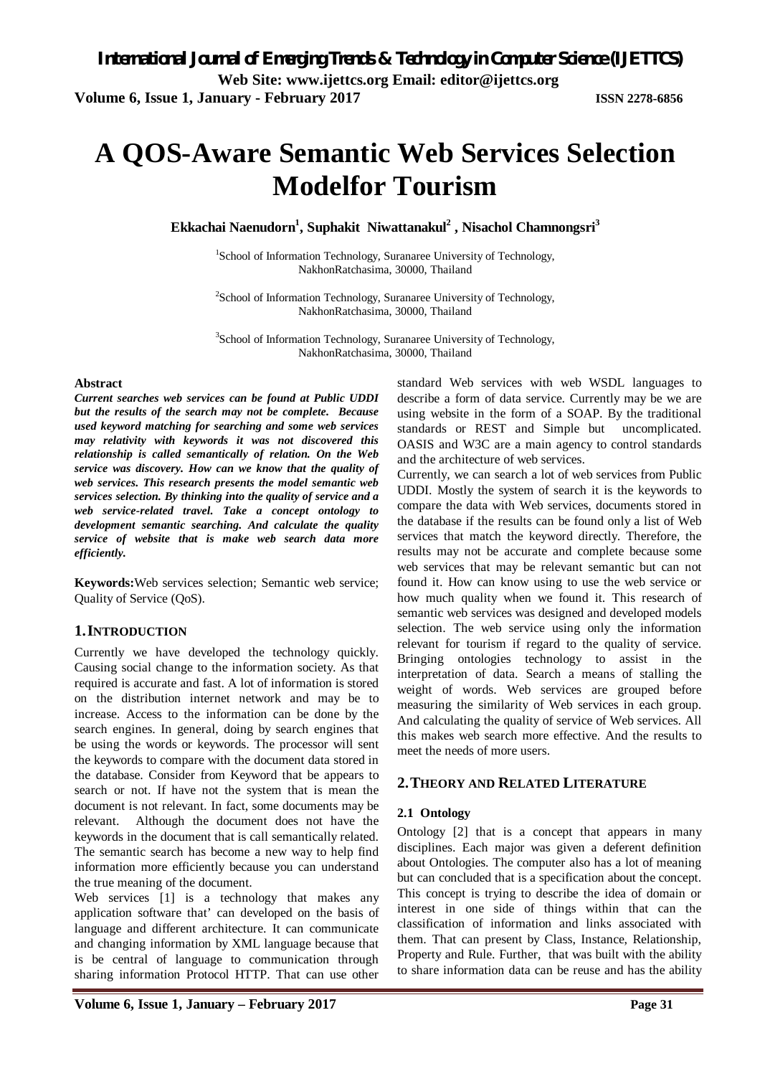# **A QOS-Aware Semantic Web Services Selection Modelfor Tourism**

**Ekkachai Naenudorn<sup>1</sup> , Suphakit Niwattanakul<sup>2</sup> , Nisachol Chamnongsri<sup>3</sup>**

<sup>1</sup>School of Information Technology, Suranaree University of Technology, NakhonRatchasima, 30000, Thailand

<sup>2</sup>School of Information Technology, Suranaree University of Technology, NakhonRatchasima, 30000, Thailand

<sup>3</sup>School of Information Technology, Suranaree University of Technology, NakhonRatchasima, 30000, Thailand

#### **Abstract**

*Current searches web services can be found at Public UDDI but the results of the search may not be complete. Because used keyword matching for searching and some web services may relativity with keywords it was not discovered this relationship is called semantically of relation. On the Web service was discovery. How can we know that the quality of web services. This research presents the model semantic web services selection. By thinking into the quality of service and a web service-related travel. Take a concept ontology to development semantic searching. And calculate the quality service of website that is make web search data more efficiently.*

**Keywords:**Web services selection; Semantic web service; Quality of Service (QoS).

## **1.INTRODUCTION**

Currently we have developed the technology quickly. Causing social change to the information society. As that required is accurate and fast. A lot of information is stored on the distribution internet network and may be to increase. Access to the information can be done by the search engines. In general, doing by search engines that be using the words or keywords. The processor will sent the keywords to compare with the document data stored in the database. Consider from Keyword that be appears to search or not. If have not the system that is mean the document is not relevant. In fact, some documents may be relevant. Although the document does not have the keywords in the document that is call semantically related. The semantic search has become a new way to help find information more efficiently because you can understand the true meaning of the document.

Web services [1] is a technology that makes any application software that' can developed on the basis of language and different architecture. It can communicate and changing information by XML language because that is be central of language to communication through sharing information Protocol HTTP. That can use other

standard Web services with web WSDL languages to describe a form of data service. Currently may be we are using website in the form of a SOAP. By the traditional standards or REST and Simple but uncomplicated. OASIS and W3C are a main agency to control standards and the architecture of web services.

Currently, we can search a lot of web services from Public UDDI. Mostly the system of search it is the keywords to compare the data with Web services, documents stored in the database if the results can be found only a list of Web services that match the keyword directly. Therefore, the results may not be accurate and complete because some web services that may be relevant semantic but can not found it. How can know using to use the web service or how much quality when we found it. This research of semantic web services was designed and developed models selection. The web service using only the information relevant for tourism if regard to the quality of service. Bringing ontologies technology to assist in the interpretation of data. Search a means of stalling the weight of words. Web services are grouped before measuring the similarity of Web services in each group. And calculating the quality of service of Web services. All this makes web search more effective. And the results to meet the needs of more users.

## **2.THEORY AND RELATED LITERATURE**

## **2.1 Ontology**

Ontology [2] that is a concept that appears in many disciplines. Each major was given a deferent definition about Ontologies. The computer also has a lot of meaning but can concluded that is a specification about the concept. This concept is trying to describe the idea of domain or interest in one side of things within that can the classification of information and links associated with them. That can present by Class, Instance, Relationship, Property and Rule. Further, that was built with the ability to share information data can be reuse and has the ability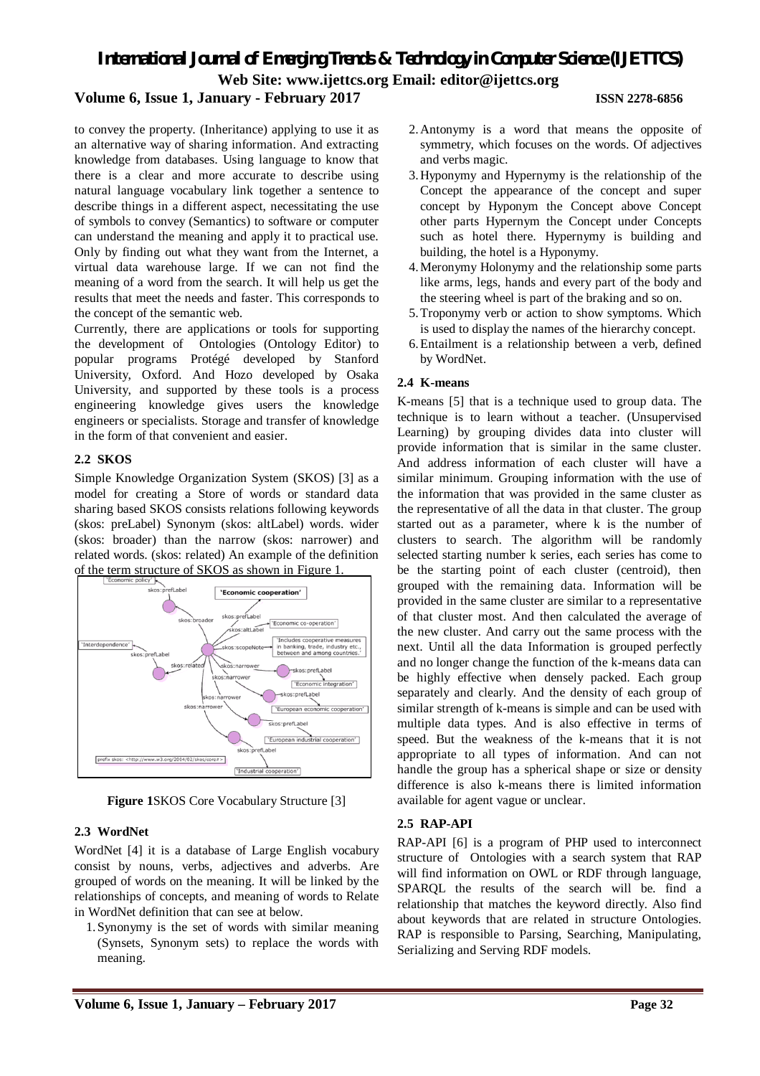### **Volume 6, Issue 1, January - February 2017 ISSN 2278-6856**

to convey the property. (Inheritance) applying to use it as an alternative way of sharing information. And extracting knowledge from databases. Using language to know that there is a clear and more accurate to describe using natural language vocabulary link together a sentence to describe things in a different aspect, necessitating the use of symbols to convey (Semantics) to software or computer can understand the meaning and apply it to practical use. Only by finding out what they want from the Internet, a virtual data warehouse large. If we can not find the meaning of a word from the search. It will help us get the results that meet the needs and faster. This corresponds to the concept of the semantic web.

Currently, there are applications or tools for supporting the development of Ontologies (Ontology Editor) to popular programs Protégé developed by Stanford University, Oxford. And Hozo developed by Osaka University, and supported by these tools is a process engineering knowledge gives users the knowledge engineers or specialists. Storage and transfer of knowledge in the form of that convenient and easier.

#### **2.2 SKOS**

Simple Knowledge Organization System (SKOS) [3] as a model for creating a Store of words or standard data sharing based SKOS consists relations following keywords (skos: preLabel) Synonym (skos: altLabel) words. wider (skos: broader) than the narrow (skos: narrower) and related words. (skos: related) An example of the definition of the term structure of SKOS as shown in Figure 1.



**Figure 1**SKOS Core Vocabulary Structure [3]

#### **2.3 WordNet**

WordNet [4] it is a database of Large English vocabury consist by nouns, verbs, adjectives and adverbs. Are grouped of words on the meaning. It will be linked by the relationships of concepts, and meaning of words to Relate in WordNet definition that can see at below.

1.Synonymy is the set of words with similar meaning (Synsets, Synonym sets) to replace the words with meaning.

- 2.Antonymy is a word that means the opposite of symmetry, which focuses on the words. Of adjectives and verbs magic.
- 3.Hyponymy and Hypernymy is the relationship of the Concept the appearance of the concept and super concept by Hyponym the Concept above Concept other parts Hypernym the Concept under Concepts such as hotel there. Hypernymy is building and building, the hotel is a Hyponymy.
- 4.Meronymy Holonymy and the relationship some parts like arms, legs, hands and every part of the body and the steering wheel is part of the braking and so on.
- 5.Troponymy verb or action to show symptoms. Which is used to display the names of the hierarchy concept.
- 6.Entailment is a relationship between a verb, defined by WordNet.

#### **2.4 K-means**

K-means [5] that is a technique used to group data. The technique is to learn without a teacher. (Unsupervised Learning) by grouping divides data into cluster will provide information that is similar in the same cluster. And address information of each cluster will have a similar minimum. Grouping information with the use of the information that was provided in the same cluster as the representative of all the data in that cluster. The group started out as a parameter, where k is the number of clusters to search. The algorithm will be randomly selected starting number k series, each series has come to be the starting point of each cluster (centroid), then grouped with the remaining data. Information will be provided in the same cluster are similar to a representative of that cluster most. And then calculated the average of the new cluster. And carry out the same process with the next. Until all the data Information is grouped perfectly and no longer change the function of the k-means data can be highly effective when densely packed. Each group separately and clearly. And the density of each group of similar strength of k-means is simple and can be used with multiple data types. And is also effective in terms of speed. But the weakness of the k-means that it is not appropriate to all types of information. And can not handle the group has a spherical shape or size or density difference is also k-means there is limited information available for agent vague or unclear.

#### **2.5 RAP-API**

RAP-API [6] is a program of PHP used to interconnect structure of Ontologies with a search system that RAP will find information on OWL or RDF through language, SPARQL the results of the search will be. find a relationship that matches the keyword directly. Also find about keywords that are related in structure Ontologies. RAP is responsible to Parsing, Searching, Manipulating, Serializing and Serving RDF models.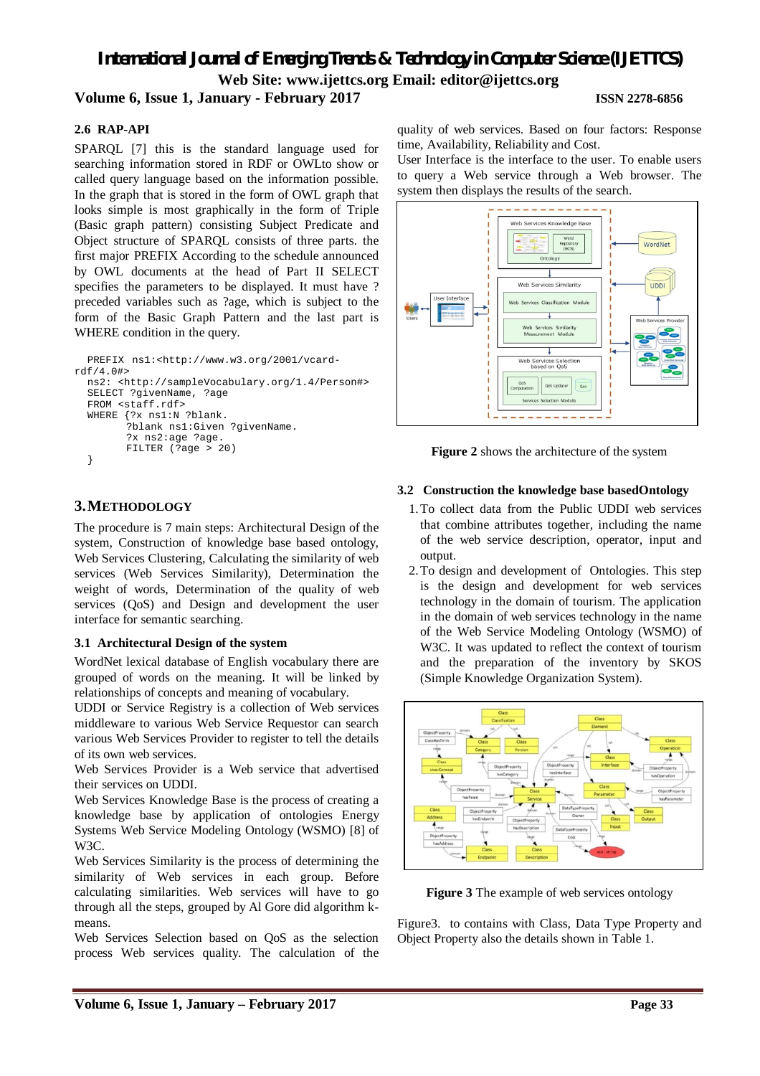### **2.6 RAP-API**

SPARQL [7] this is the standard language used for searching information stored in RDF or OWLto show or called query language based on the information possible. In the graph that is stored in the form of OWL graph that looks simple is most graphically in the form of Triple (Basic graph pattern) consisting Subject Predicate and Object structure of SPARQL consists of three parts. the first major PREFIX According to the schedule announced by OWL documents at the head of Part II SELECT specifies the parameters to be displayed. It must have ? preceded variables such as ?age, which is subject to the form of the Basic Graph Pattern and the last part is WHERE condition in the query.

```
PREFIX ns1:<http://www.w3.org/2001/vcard-
rdf/4.0#>
  ns2: <http://sampleVocabulary.org/1.4/Person#>
  SELECT ?givenName, ?age
  FROM <staff.rdf>
  WHERE {?x ns1:N ?blank.
        ?blank ns1:Given ?givenName.
        ?x ns2:age ?age.
        FILTER (?age > 20)
  }
```
## **3.METHODOLOGY**

The procedure is 7 main steps: Architectural Design of the system, Construction of knowledge base based ontology, Web Services Clustering, Calculating the similarity of web services (Web Services Similarity), Determination the weight of words, Determination of the quality of web services (QoS) and Design and development the user interface for semantic searching.

#### **3.1 Architectural Design of the system**

WordNet lexical database of English vocabulary there are grouped of words on the meaning. It will be linked by relationships of concepts and meaning of vocabulary.

UDDI or Service Registry is a collection of Web services middleware to various Web Service Requestor can search various Web Services Provider to register to tell the details of its own web services.

Web Services Provider is a Web service that advertised their services on UDDI.

Web Services Knowledge Base is the process of creating a knowledge base by application of ontologies Energy Systems Web Service Modeling Ontology (WSMO) [8] of W3C.

Web Services Similarity is the process of determining the similarity of Web services in each group. Before calculating similarities. Web services will have to go through all the steps, grouped by Al Gore did algorithm kmeans.

Web Services Selection based on QoS as the selection process Web services quality. The calculation of the quality of web services. Based on four factors: Response time, Availability, Reliability and Cost.

User Interface is the interface to the user. To enable users to query a Web service through a Web browser. The system then displays the results of the search.



**Figure 2** shows the architecture of the system

### **3.2 Construction the knowledge base basedOntology**

- 1.To collect data from the Public UDDI web services that combine attributes together, including the name of the web service description, operator, input and output.
- 2.To design and development of Ontologies. This step is the design and development for web services technology in the domain of tourism. The application in the domain of web services technology in the name of the Web Service Modeling Ontology (WSMO) of W3C. It was updated to reflect the context of tourism and the preparation of the inventory by SKOS (Simple Knowledge Organization System).



**Figure 3** The example of web services ontology

Figure3. to contains with Class, Data Type Property and Object Property also the details shown in Table 1.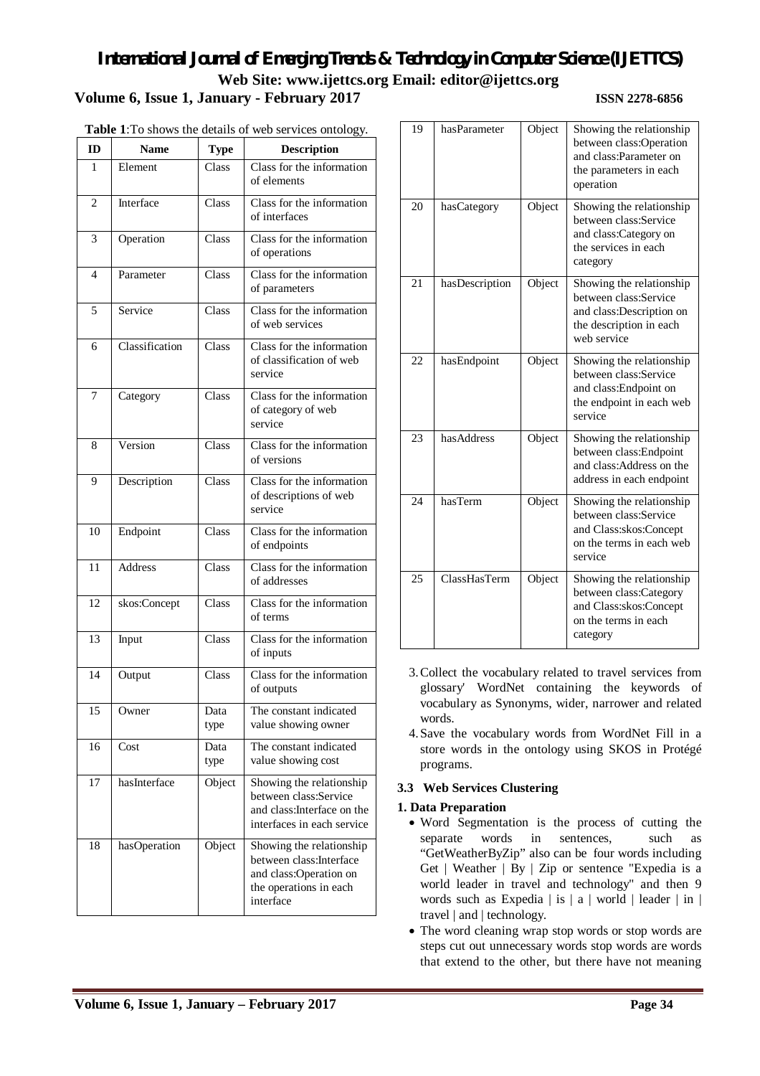|                          |                |              | <b>Table 1</b> :10 shows the details of web services ontology.                                                        |
|--------------------------|----------------|--------------|-----------------------------------------------------------------------------------------------------------------------|
| ID                       | <b>Name</b>    | <b>Type</b>  | <b>Description</b>                                                                                                    |
| 1                        | Element        | Class        | Class for the information<br>of elements                                                                              |
| $\overline{c}$           | Interface      | Class        | Class for the information<br>of interfaces                                                                            |
| 3                        | Operation      | Class        | Class for the information<br>of operations                                                                            |
| $\overline{\mathcal{L}}$ | Parameter      | Class        | $\overline{\text{Class}}$ for the information<br>of parameters                                                        |
| 5                        | Service        | Class        | Class for the information<br>of web services                                                                          |
| 6                        | Classification | Class        | Class for the information<br>of classification of web<br>service                                                      |
| 7                        | Category       | Class        | Class for the information<br>of category of web<br>service                                                            |
| 8                        | Version        | Class        | Class for the information<br>of versions                                                                              |
| 9                        | Description    | Class        | Class for the information<br>of descriptions of web<br>service                                                        |
| 10                       | Endpoint       | Class        | Class for the information<br>of endpoints                                                                             |
| 11                       | <b>Address</b> | Class        | Class for the information<br>of addresses                                                                             |
| 12                       | skos:Concept   | Class        | Class for the information<br>of terms                                                                                 |
| 13                       | Input          | Class        | Class for the information<br>of inputs                                                                                |
| 14                       | Output         | Class        | Class for the information<br>of outputs                                                                               |
| 15                       | Owner          | Data<br>type | The constant indicated<br>value showing owner                                                                         |
| 16                       | Cost           | Data<br>type | The constant indicated<br>value showing cost                                                                          |
| 17                       | hasInterface   | Object       | Showing the relationship<br>between class:Service<br>and class: Interface on the<br>interfaces in each service        |
| 18                       | hasOperation   | Object       | Showing the relationship<br>between class: Interface<br>and class:Operation on<br>the operations in each<br>interface |

| Table 1: To shows the details of web services ontology. |  |  |  |  |  |  |  |  |
|---------------------------------------------------------|--|--|--|--|--|--|--|--|
|---------------------------------------------------------|--|--|--|--|--|--|--|--|

| 19 | hasParameter   | Object | Showing the relationship<br>between class:Operation<br>and class:Parameter on<br>the parameters in each<br>operation    |
|----|----------------|--------|-------------------------------------------------------------------------------------------------------------------------|
| 20 | hasCategory    | Object | Showing the relationship<br>between class:Service<br>and class:Category on<br>the services in each<br>category          |
| 21 | hasDescription | Object | Showing the relationship<br>between class:Service<br>and class:Description on<br>the description in each<br>web service |
| 22 | hasEndpoint    | Object | Showing the relationship<br>between class:Service<br>and class: Endpoint on<br>the endpoint in each web<br>service      |
| 23 | hasAddress     | Object | Showing the relationship<br>between class: Endpoint<br>and class:Address on the<br>address in each endpoint             |
| 24 | hasTerm        | Object | Showing the relationship<br>between class:Service<br>and Class:skos:Concept<br>on the terms in each web<br>service      |
| 25 | ClassHasTerm   | Object | Showing the relationship<br>between class:Category<br>and Class:skos:Concept<br>on the terms in each<br>category        |

- 3.Collect the vocabulary related to travel services from glossary' WordNet containing the keywords of vocabulary as Synonyms, wider, narrower and related words.
- 4.Save the vocabulary words from WordNet Fill in a store words in the ontology using SKOS in Protégé programs.

## **3.3 Web Services Clustering**

#### **1. Data Preparation**

- Word Segmentation is the process of cutting the separate words in sentences, such as "GetWeatherByZip" also can be four words including Get | Weather | By | Zip or sentence "Expedia is a world leader in travel and technology" and then 9 words such as Expedia  $\vert$  is  $\vert$  a  $\vert$  world  $\vert$  leader  $\vert$  in  $\vert$ travel | and | technology.
- The word cleaning wrap stop words or stop words are steps cut out unnecessary words stop words are words that extend to the other, but there have not meaning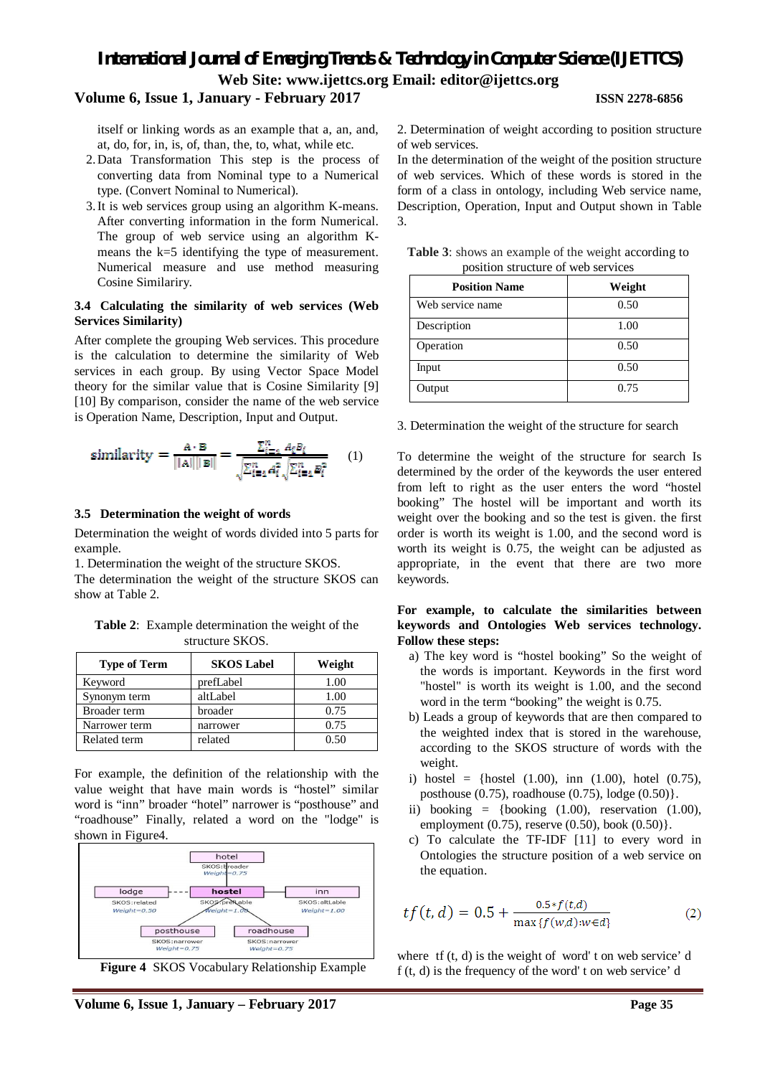#### **Volume 6, Issue 1, January - February 2017 ISSN 2278-6856**

itself or linking words as an example that a, an, and, at, do, for, in, is, of, than, the, to, what, while etc.

- 2.Data Transformation This step is the process of converting data from Nominal type to a Numerical type. (Convert Nominal to Numerical).
- 3.It is web services group using an algorithm K-means. After converting information in the form Numerical. The group of web service using an algorithm Kmeans the k=5 identifying the type of measurement. Numerical measure and use method measuring Cosine Similariry.

#### **3.4 Calculating the similarity of web services (Web Services Similarity)**

After complete the grouping Web services. This procedure is the calculation to determine the similarity of Web services in each group. By using Vector Space Model theory for the similar value that is Cosine Similarity [9] [10] By comparison, consider the name of the web service is Operation Name, Description, Input and Output.

similarity = 
$$
\frac{A \cdot B}{\|A\| \|B\|} = \frac{\sum_{i=1}^{n} A_i B_i}{\sqrt{\sum_{i=1}^{n} A_i^2} \sqrt{\sum_{i=1}^{n} B_i^2}}
$$
 (1)

#### **3.5 Determination the weight of words**

Determination the weight of words divided into 5 parts for example.

1. Determination the weight of the structure SKOS.

The determination the weight of the structure SKOS can show at Table 2.

**Table 2**: Example determination the weight of the structure SKOS.

| <b>Type of Term</b> | <b>SKOS Label</b> | Weight |
|---------------------|-------------------|--------|
| Keyword             | prefLabel         | 1.00   |
| Synonym term        | altLabel          | 1.00   |
| Broader term        | broader           | 0.75   |
| Narrower term       | narrower          | 0.75   |
| Related term        | related           | 0.50   |

For example, the definition of the relationship with the value weight that have main words is "hostel" similar word is "inn" broader "hotel" narrower is "posthouse" and "roadhouse" Finally, related a word on the "lodge" is shown in Figure4.



**Figure 4** SKOS Vocabulary Relationship Example

2. Determination of weight according to position structure of web services.

In the determination of the weight of the position structure of web services. Which of these words is stored in the form of a class in ontology, including Web service name, Description, Operation, Input and Output shown in Table 3.

|  |                                    |  | <b>Table 3:</b> shows an example of the weight according to |
|--|------------------------------------|--|-------------------------------------------------------------|
|  | position structure of web services |  |                                                             |

| <b>Position Name</b> | Weight |
|----------------------|--------|
| Web service name     | 0.50   |
| Description          | 1.00   |
| Operation            | 0.50   |
| Input                | 0.50   |
| Output               | 0.75   |

3. Determination the weight of the structure for search

To determine the weight of the structure for search Is determined by the order of the keywords the user entered from left to right as the user enters the word "hostel booking" The hostel will be important and worth its weight over the booking and so the test is given. the first order is worth its weight is 1.00, and the second word is worth its weight is 0.75, the weight can be adjusted as appropriate, in the event that there are two more keywords.

#### **For example, to calculate the similarities between keywords and Ontologies Web services technology. Follow these steps:**

- a) The key word is "hostel booking" So the weight of the words is important. Keywords in the first word "hostel" is worth its weight is 1.00, and the second word in the term "booking" the weight is 0.75.
- b) Leads a group of keywords that are then compared to the weighted index that is stored in the warehouse, according to the SKOS structure of words with the weight.
- i) hostel = {hostel  $(1.00)$ , inn  $(1.00)$ , hotel  $(0.75)$ , posthouse (0.75), roadhouse (0.75), lodge (0.50)}.
- ii) booking  $=$  {booking  $(1.00)$ , reservation  $(1.00)$ , employment  $(0.75)$ , reserve  $(0.50)$ , book  $(0.50)$ .
- c) To calculate the TF-IDF [11] to every word in Ontologies the structure position of a web service on the equation.

$$
tf(t, d) = 0.5 + \frac{0.5 * f(t, d)}{\max\{f(w, d) : w \in d\}}\tag{2}
$$

where  $tf(t, d)$  is the weight of word' t on web service' d f (t, d) is the frequency of the word' t on web service' d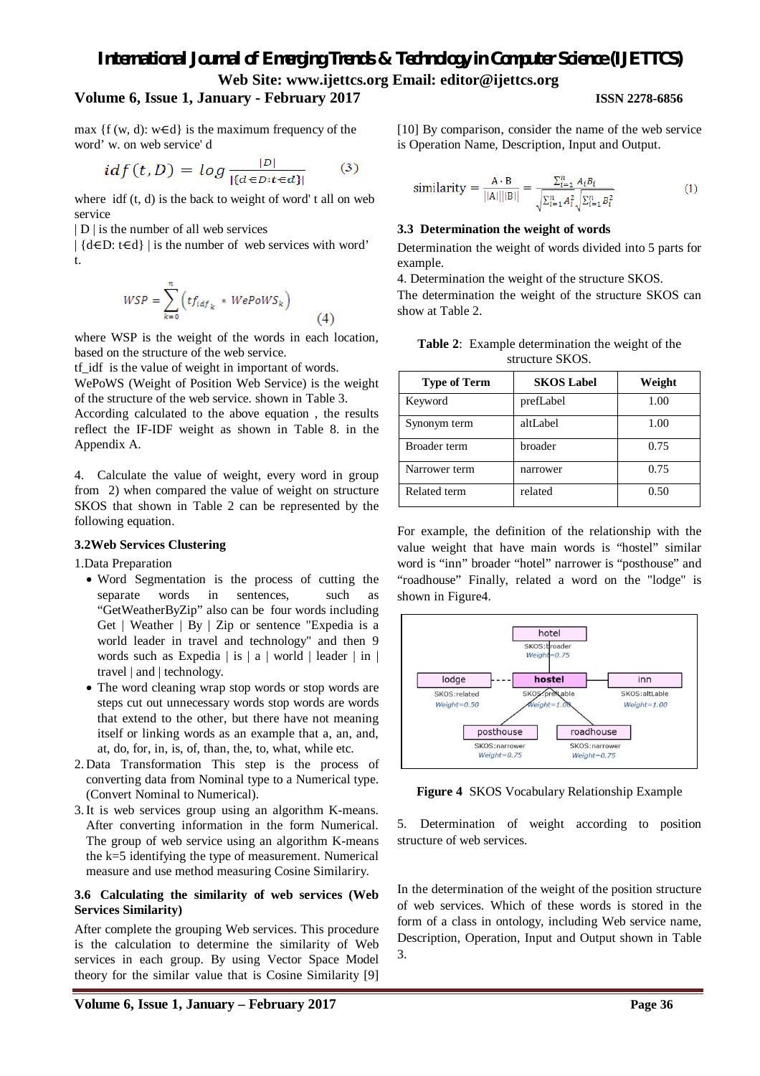### **Volume 6, Issue 1, January - February 2017 ISSN 2278-6856**

max  ${f(w, d): w \in d}$  is the maximum frequency of the word' w. on web service' d

$$
idf(t, D) = log \frac{|D|}{|\{d \in D : t \in d\}|} \qquad (3)
$$

where  $\text{if } (t, d)$  is the back to weight of word' t all on web service

| D | is the number of all web services

 $\left| \{ d \in D : t \in d \} \right|$  is the number of web services with word' t.

$$
WSP = \sum_{k=0}^{n} \left( t f_{i d f_k} * W e P o W S_k \right) \tag{4}
$$

where WSP is the weight of the words in each location. based on the structure of the web service.

tf\_idf is the value of weight in important of words.

WePoWS (Weight of Position Web Service) is the weight of the structure of the web service. shown in Table 3.

According calculated to the above equation , the results reflect the IF-IDF weight as shown in Table 8. in the Appendix A.

4. Calculate the value of weight, every word in group from 2) when compared the value of weight on structure SKOS that shown in Table 2 can be represented by the following equation.

#### **3.2Web Services Clustering**

1.Data Preparation

- Word Segmentation is the process of cutting the separate words in sentences, such as "GetWeatherByZip" also can be four words including Get | Weather | By | Zip or sentence "Expedia is a world leader in travel and technology" and then 9 words such as Expedia | is | a | world | leader | in | travel | and | technology.
- The word cleaning wrap stop words or stop words are steps cut out unnecessary words stop words are words that extend to the other, but there have not meaning itself or linking words as an example that a, an, and, at, do, for, in, is, of, than, the, to, what, while etc.
- 2. Data Transformation This step is the process of converting data from Nominal type to a Numerical type. (Convert Nominal to Numerical).
- 3.It is web services group using an algorithm K-means. After converting information in the form Numerical. The group of web service using an algorithm K-means the k=5 identifying the type of measurement. Numerical measure and use method measuring Cosine Similariry.

#### **3.6 Calculating the similarity of web services (Web Services Similarity)**

After complete the grouping Web services. This procedure is the calculation to determine the similarity of Web services in each group. By using Vector Space Model theory for the similar value that is Cosine Similarity [9] [10] By comparison, consider the name of the web service is Operation Name, Description, Input and Output.

similarity = 
$$
\frac{A \cdot B}{||A|| ||B||} = \frac{\sum_{i=1}^{n} A_i B_i}{\sqrt{\sum_{i=1}^{n} A_i^2} \sqrt{\sum_{i=1}^{n} B_i^2}}
$$
 (1)

#### **3.3 Determination the weight of words**

Determination the weight of words divided into 5 parts for example.

4. Determination the weight of the structure SKOS.

The determination the weight of the structure SKOS can show at Table 2.

| <b>Table 2:</b> Example determination the weight of the |
|---------------------------------------------------------|
| structure SKOS.                                         |

| <b>Type of Term</b> | <b>SKOS Label</b> | Weight |
|---------------------|-------------------|--------|
| Keyword             | prefLabel         | 1.00   |
| Synonym term        | altLabel          | 1.00   |
| Broader term        | broader           | 0.75   |
| Narrower term       | narrower          | 0.75   |
| Related term        | related           | 0.50   |

For example, the definition of the relationship with the value weight that have main words is "hostel" similar word is "inn" broader "hotel" narrower is "posthouse" and "roadhouse" Finally, related a word on the "lodge" is shown in Figure4.



**Figure 4** SKOS Vocabulary Relationship Example

5. Determination of weight according to position structure of web services.

In the determination of the weight of the position structure of web services. Which of these words is stored in the form of a class in ontology, including Web service name, Description, Operation, Input and Output shown in Table 3.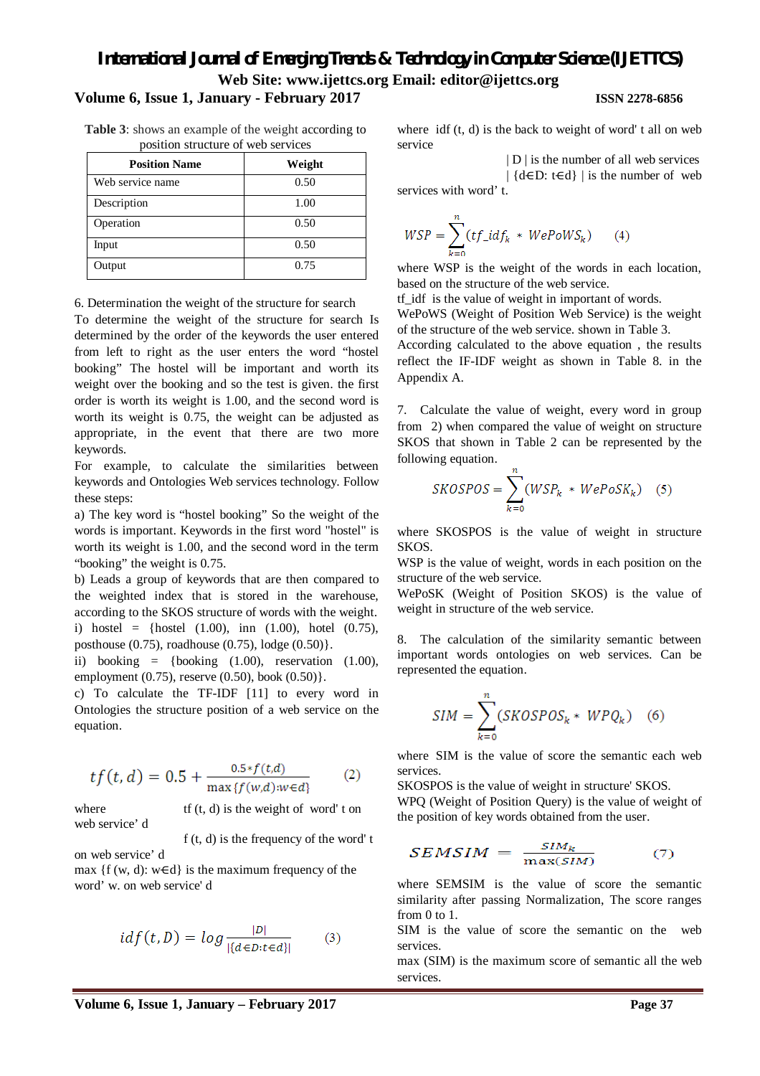## **Volume 6, Issue 1, January - February 2017 ISSN 2278-6856**

**Table 3**: shows an example of the weight according to position structure of web services

| <b>Position Name</b> | Weight |
|----------------------|--------|
| Web service name     | 0.50   |
| Description          | 1.00   |
| Operation            | 0.50   |
| Input                | 0.50   |
| Output               | 0.75   |

6. Determination the weight of the structure for search

To determine the weight of the structure for search Is determined by the order of the keywords the user entered from left to right as the user enters the word "hostel booking" The hostel will be important and worth its weight over the booking and so the test is given. the first order is worth its weight is 1.00, and the second word is worth its weight is 0.75, the weight can be adjusted as appropriate, in the event that there are two more keywords.

For example, to calculate the similarities between keywords and Ontologies Web services technology. Follow these steps:

a) The key word is "hostel booking" So the weight of the words is important. Keywords in the first word "hostel" is worth its weight is 1.00, and the second word in the term "booking" the weight is 0.75.

b) Leads a group of keywords that are then compared to the weighted index that is stored in the warehouse, according to the SKOS structure of words with the weight. i) hostel = {hostel  $(1.00)$ , inn  $(1.00)$ , hotel  $(0.75)$ , posthouse (0.75), roadhouse (0.75), lodge (0.50)}.

ii) booking  $=$  {booking  $(1.00)$ , reservation  $(1.00)$ , employment (0.75), reserve (0.50), book (0.50)}.

c) To calculate the TF-IDF [11] to every word in Ontologies the structure position of a web service on the equation.

$$
tf(t, d) = 0.5 + \frac{0.5 * f(t, d)}{\max\{f(w, d) : w \in d\}}\tag{2}
$$

where  $\mathbf{t}$  the weight of word' t on web service' d

f (t, d) is the frequency of the word' t

on web service' d

max  $\{f(w, d): w \in d\}$  is the maximum frequency of the word' w. on web service' d

$$
idf(t, D) = log \frac{|D|}{|\{d \in D : t \in d\}|} \tag{3}
$$

where  $\text{if } (t, d)$  is the back to weight of word' t all on web service

| D | is the number of all web services  $\left| \{ d \in D : t \in d \} \right|$  is the number of web services with word' t.

$$
WSP = \sum_{k=0}^{n} (tf\_idf_k \cdot WepoWS_k) \qquad (4)
$$

where WSP is the weight of the words in each location, based on the structure of the web service.

tf\_idf is the value of weight in important of words.

WePoWS (Weight of Position Web Service) is the weight of the structure of the web service. shown in Table 3.

According calculated to the above equation , the results reflect the IF-IDF weight as shown in Table 8. in the Appendix A.

7. Calculate the value of weight, every word in group from 2) when compared the value of weight on structure SKOS that shown in Table 2 can be represented by the following equation.

$$
SKOSPOS = \sum_{k=0}^{n} (WSP_k * WePoSK_k) \quad (5)
$$

where SKOSPOS is the value of weight in structure SKOS.

WSP is the value of weight, words in each position on the structure of the web service.

WePoSK (Weight of Position SKOS) is the value of weight in structure of the web service.

8. The calculation of the similarity semantic between important words ontologies on web services. Can be represented the equation.

$$
SIM = \sum_{k=0}^{n} (SKOSPOS_k * WPQ_k) \quad (6)
$$

where SIM is the value of score the semantic each web services.

SKOSPOS is the value of weight in structure' SKOS. WPQ (Weight of Position Query) is the value of weight of

the position of key words obtained from the user.

$$
SEMSIM = \frac{SIM_k}{\max(SIM)} \tag{7}
$$

where SEMSIM is the value of score the semantic similarity after passing Normalization, The score ranges from 0 to 1.

SIM is the value of score the semantic on the web services.

max (SIM) is the maximum score of semantic all the web services.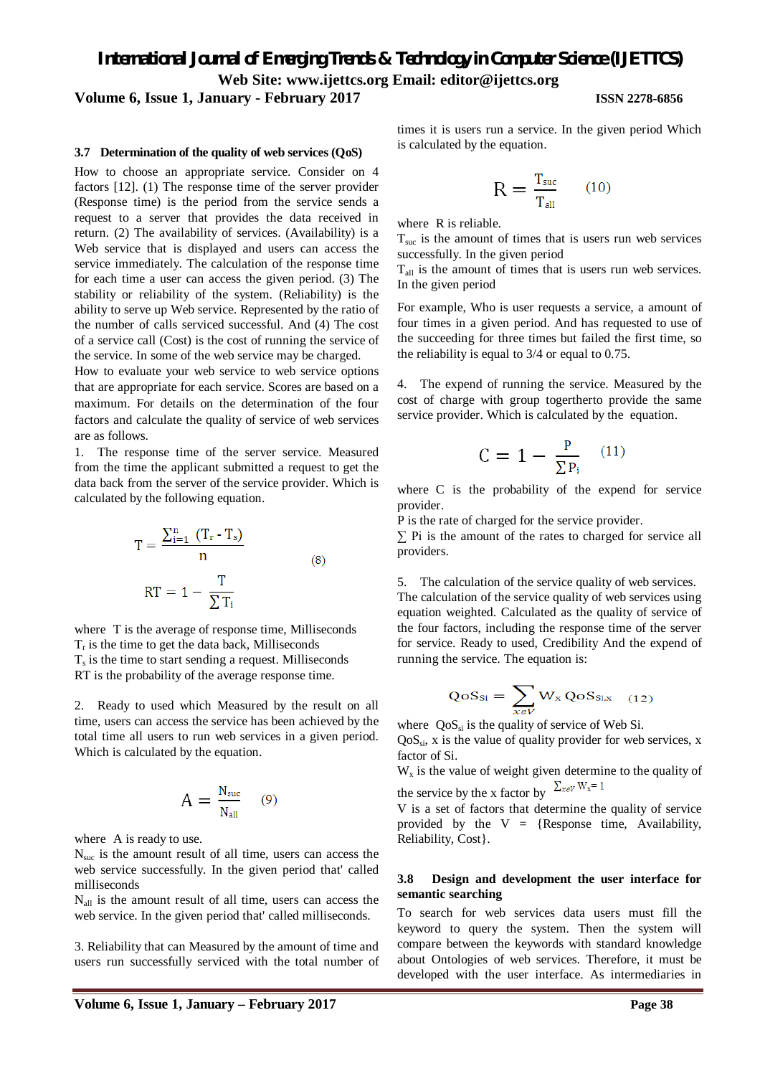#### **Volume 6, Issue 1, January - February 2017 ISSN 2278-6856**

#### **3.7 Determination of the quality of web services (QoS)**

How to choose an appropriate service. Consider on 4 factors [12]. (1) The response time of the server provider (Response time) is the period from the service sends a request to a server that provides the data received in return. (2) The availability of services. (Availability) is a Web service that is displayed and users can access the service immediately. The calculation of the response time for each time a user can access the given period. (3) The stability or reliability of the system. (Reliability) is the ability to serve up Web service. Represented by the ratio of the number of calls serviced successful. And (4) The cost of a service call (Cost) is the cost of running the service of the service. In some of the web service may be charged.

How to evaluate your web service to web service options that are appropriate for each service. Scores are based on a maximum. For details on the determination of the four factors and calculate the quality of service of web services are as follows.

1. The response time of the server service. Measured from the time the applicant submitted a request to get the data back from the server of the service provider. Which is calculated by the following equation.

$$
T = \frac{\sum_{i=1}^{n} (T_r - T_s)}{n}
$$
  
RT = 1 -  $\frac{T}{\sum T_i}$  (8)

where T is the average of response time, Milliseconds  $T_r$  is the time to get the data back, Milliseconds  $T<sub>s</sub>$  is the time to start sending a request. Milliseconds RT is the probability of the average response time.

2. Ready to used which Measured by the result on all time, users can access the service has been achieved by the total time all users to run web services in a given period. Which is calculated by the equation.

$$
A = \frac{N_{\text{sur}}}{N_{\text{all}}} \quad (9)
$$

where A is ready to use.

 $N<sub>suc</sub>$  is the amount result of all time, users can access the web service successfully. In the given period that' called milliseconds

 $N<sub>all</sub>$  is the amount result of all time, users can access the web service. In the given period that' called milliseconds.

3. Reliability that can Measured by the amount of time and users run successfully serviced with the total number of times it is users run a service. In the given period Which is calculated by the equation.

$$
R = \frac{T_{\text{succ}}}{T_{\text{all}}} \qquad (10)
$$

where R is reliable.

 $T<sub>src</sub>$  is the amount of times that is users run web services successfully. In the given period

 $T_{all}$  is the amount of times that is users run web services. In the given period

For example, Who is user requests a service, a amount of four times in a given period. And has requested to use of the succeeding for three times but failed the first time, so the reliability is equal to 3/4 or equal to 0.75.

4. The expend of running the service. Measured by the cost of charge with group togertherto provide the same service provider. Which is calculated by the equation.

$$
C = 1 - \frac{P}{\Sigma P_i} \quad (11)
$$

where C is the probability of the expend for service provider.

P is the rate of charged for the service provider.

 $\Sigma$  Pi is the amount of the rates to charged for service all providers.

5. The calculation of the service quality of web services. The calculation of the service quality of web services using equation weighted. Calculated as the quality of service of the four factors, including the response time of the server for service. Ready to used, Credibility And the expend of running the service. The equation is:

$$
QoS_{Si} = \sum_{x \in V} W_x \, QoS_{Si,x} \quad (12)
$$

where  $\cos_{si}$  is the quality of service of Web Si.

 $QoS_{si}$ , x is the value of quality provider for web services, x factor of Si.

 $W_x$  is the value of weight given determine to the quality of the service by the x factor by  $\Sigma_{xev}$  W<sub>x</sub>= 1

V is a set of factors that determine the quality of service provided by the  $V = \{Response time, Availableility,$ Reliability, Cost}.

#### **3.8 Design and development the user interface for semantic searching**

To search for web services data users must fill the keyword to query the system. Then the system will compare between the keywords with standard knowledge about Ontologies of web services. Therefore, it must be developed with the user interface. As intermediaries in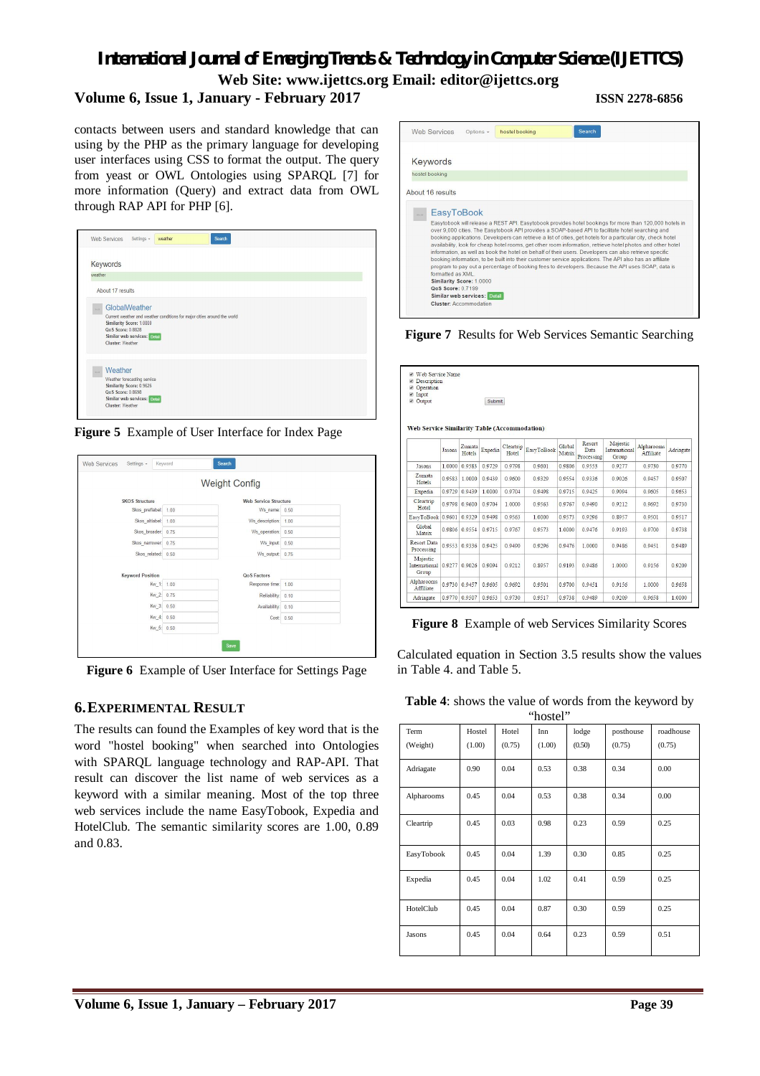## *International Journal of Emerging Trends & Technology in Computer Science (IJETTCS)*

**Web Site: www.ijettcs.org Email: editor@ijettcs.org** 

## **Volume 6, Issue 1, January - February 2017 ISSN 2278-6856**

contacts between users and standard knowledge that can using by the PHP as the primary language for developing user interfaces using CSS to format the output. The query from yeast or OWL Ontologies using SPARQL [7] for more information (Query) and extract data from OWL through RAP API for PHP [6].

|                | Keywords                                                                                                                                                                                       |
|----------------|------------------------------------------------------------------------------------------------------------------------------------------------------------------------------------------------|
| weather        |                                                                                                                                                                                                |
|                |                                                                                                                                                                                                |
|                | About 17 results                                                                                                                                                                               |
| 1.1            | GlobalWeather<br>Current weather and weather conditions for major cities around the world<br>Similarity Score: 1.0000<br>QoS Score: 0.8828<br>Similar web services: Detail<br>Cluster: Weather |
| $\sim 10^{-1}$ | Weather<br>Weather forecasting service<br>Similarity Score: 0.9626<br>QoS Score: 0.8698<br>Similar web services: Detail                                                                        |

**Figure 5** Example of User Interface for Index Page

|                         |      | <b>Weight Config</b>         |      |
|-------------------------|------|------------------------------|------|
| <b>SKOS Structure</b>   |      | <b>Web Service Structure</b> |      |
| Skos preflabel:         | 1.00 | Ws name: 0.50                |      |
| Skos altlabel:          | 1.00 | Ws description:              | 1.00 |
| Skos broader:           | 0.75 | Ws operation: 0.50           |      |
| Skos narrower:          | 0.75 | Ws input: 0.50               |      |
| Skos related:           | 0.50 | Ws output: 0.75              |      |
|                         |      |                              |      |
| <b>Keyword Position</b> |      | <b>QoS Factors</b>           |      |
| Kw 1:                   | 1.00 | Response time:               | 1.00 |
| Kw_2:                   | 0.75 | Reliability:                 | 0.10 |
| Kw_3:                   | 0.50 | Availability:                | 0.10 |
| Kw_4: 0.50              |      | Cost: 0.50                   |      |
| Kw_5: 0.50              |      |                              |      |

**Figure 6** Example of User Interface for Settings Page

## **6.EXPERIMENTAL RESULT**

The results can found the Examples of key word that is the word "hostel booking" when searched into Ontologies with SPARQL language technology and RAP-API. That result can discover the list name of web services as a keyword with a similar meaning. Most of the top three web services include the name EasyTobook, Expedia and HotelClub. The semantic similarity scores are 1.00, 0.89 and 0.83.



**Figure 7** Results for Web Services Semantic Searching

| Description<br>Operation<br>$\overline{\mathcal{L}}$<br>nput<br>Output<br>ø<br><b>Web Service Similarity Table (Accommodation)</b> |           |                  | Submit    |                    |            |                  |                                     |                                    |                         |           |
|------------------------------------------------------------------------------------------------------------------------------------|-----------|------------------|-----------|--------------------|------------|------------------|-------------------------------------|------------------------------------|-------------------------|-----------|
|                                                                                                                                    | Jasons    | Zumata<br>Hotels | Expedia   | Cleartrip<br>Hotel | EasyToBook | Global<br>Matrix | Resort<br><b>Data</b><br>Processing | Majestic<br>International<br>Group | Alpharooms<br>Affiliate | Adriagate |
| <b>Jasons</b>                                                                                                                      | 1 0000    | 09583            | 0.9729    | 0.9798             | 0.9601     | 0.9806           | 0.9553                              | 0 9 2 7 7                          | 0.9730                  | 09770     |
| Zumata<br>Hotels                                                                                                                   | 0.9583    | 1 0000           | 0 0430    | 0.9600             | 0.9329     | 0.9554           | 0 0 3 3 6                           | 0.0026                             | 0 0457                  | 0.9507    |
| Expedia                                                                                                                            | 0.9729    | 0.9439           | 1.0000    | 0 9704             | 0.9498     | 0.9715           | 0.9425                              | 0.9094                             | 0.9605                  | 0.9653    |
| Cleartrip<br>Hotel                                                                                                                 | 0.9798    | 0.9600           | 0.9704    | 1.0000             | 0.9563     | 0.9767           | 0.9490                              | 0.9212                             | 0.9692                  | 0.9730    |
| EasyToBook 0.9601                                                                                                                  |           | 0.9329           | 0.9498    | 0.9563             | 1.0000     | 0.9573           | 0.9296                              | 0.8957                             | 0.9501                  | 0.9517    |
| Global<br>Matrix                                                                                                                   | 0.9806    | 0.9554           | 0.9715    | 0.9767             | 0.9573     | 1.0000           | 0.9476                              | 0.9193                             | 0.9700                  | 0.9738    |
| <b>Resort Data</b><br>Processing                                                                                                   | 0 0 5 5 3 | 0 9 3 3 6        | 0.9425    | 0.9490             | 0.9296     | 0 9476           | 1 0000                              | 0.9486                             | 0.9451                  | 0 9489    |
| Majestic<br>International<br>Group                                                                                                 | 0.9277    | 0.9026           | 0 9 0 9 4 | 0.9212             | 0.8957     | 0.9193           | 0.9486                              | 1.0000                             | 0.9156                  | 0.9209    |
| Alpharooms<br>Affiliate                                                                                                            | 0 9730    | 0.9457           | 0.9605    | 0.9692             | 0.9501     | 0 9700           | 0 9 4 5 1                           | 0.9156                             | 1 0000                  | 0.9658    |
| Adriagate                                                                                                                          | 0.9770    | 0.9507           | 0 9653    | 0.9730             | 0.9517     | 0 9738           | 0 9489                              | 0.9209                             | 0.9658                  | 1 0000    |

**Figure 8** Example of web Services Similarity Scores

Calculated equation in Section 3.5 results show the values in Table 4. and Table 5.

|  | Table 4: shows the value of words from the keyword by |  |  |  |  |  |  |
|--|-------------------------------------------------------|--|--|--|--|--|--|
|--|-------------------------------------------------------|--|--|--|--|--|--|

| "hostel"         |                  |                 |               |                 |                     |                     |  |  |  |
|------------------|------------------|-----------------|---------------|-----------------|---------------------|---------------------|--|--|--|
| Term<br>(Weight) | Hostel<br>(1.00) | Hotel<br>(0.75) | Inn<br>(1.00) | lodge<br>(0.50) | posthouse<br>(0.75) | roadhouse<br>(0.75) |  |  |  |
| Adriagate        | 0.90             | 0.04            | 0.53          | 0.38            | 0.34                | 0.00                |  |  |  |
| Alpharooms       | 0.45             | 0.04            | 0.53          | 0.38            | 0.34                | 0.00                |  |  |  |
| Cleartrip        | 0.45             | 0.03            | 0.98          | 0.23            | 0.59                | 0.25                |  |  |  |
| EasyTobook       | 0.45             | 0.04            | 1.39          | 0.30            | 0.85                | 0.25                |  |  |  |
| Expedia          | 0.45             | 0.04            | 1.02          | 0.41            | 0.59                | 0.25                |  |  |  |
| HotelClub        | 0.45             | 0.04            | 0.87          | 0.30            | 0.59                | 0.25                |  |  |  |
| Jasons           | 0.45             | 0.04            | 0.64          | 0.23            | 0.59                | 0.51                |  |  |  |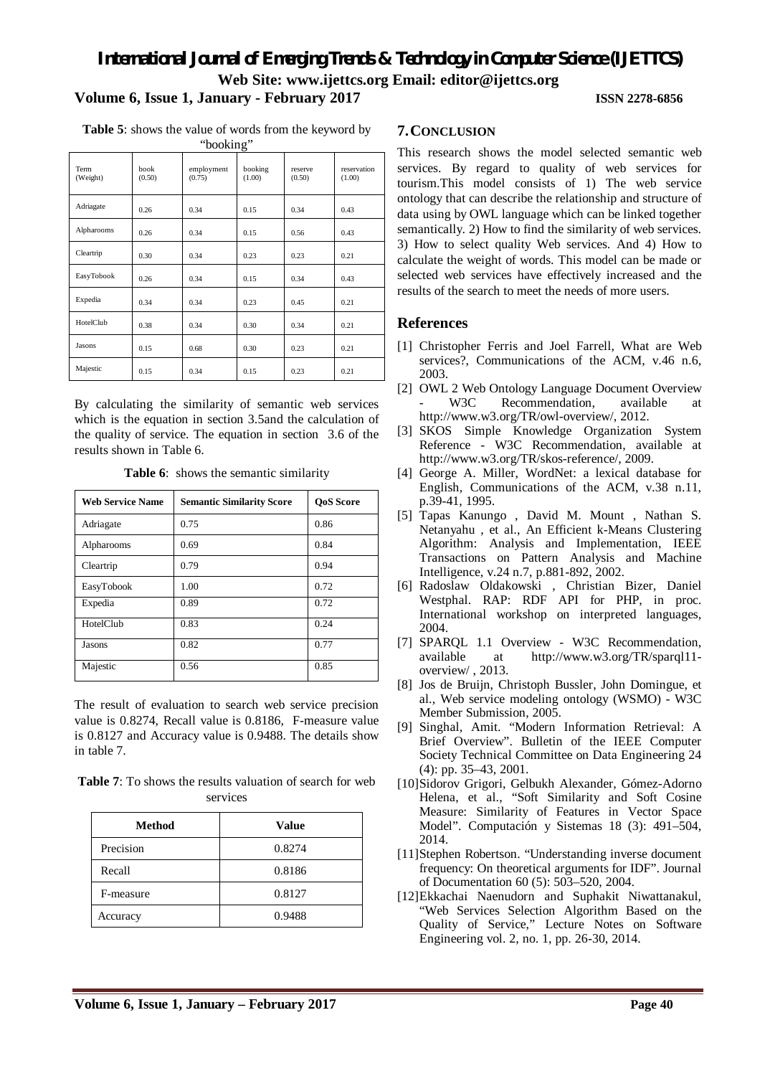**Table 5**: shows the value of words from the keyword by

| "booking"        |                |                      |                   |                   |                       |  |  |  |  |  |
|------------------|----------------|----------------------|-------------------|-------------------|-----------------------|--|--|--|--|--|
| Term<br>(Weight) | book<br>(0.50) | employment<br>(0.75) | booking<br>(1.00) | reserve<br>(0.50) | reservation<br>(1.00) |  |  |  |  |  |
| Adriagate        | 0.26           | 0.34                 | 0.15              | 0.34              | 0.43                  |  |  |  |  |  |
| Alpharooms       | 0.26           | 0.34                 | 0.15              | 0.56              | 0.43                  |  |  |  |  |  |
| Cleartrip        | 0.30           | 0.34                 | 0.23              | 0.23              | 0.21                  |  |  |  |  |  |
| EasyTobook       | 0.26           | 0.34                 | 0.15              | 0.34              | 0.43                  |  |  |  |  |  |
| Expedia          | 0.34           | 0.34                 | 0.23              | 0.45              | 0.21                  |  |  |  |  |  |
| HotelClub        | 0.38           | 0.34                 | 0.30              | 0.34              | 0.21                  |  |  |  |  |  |
| Jasons           | 0.15           | 0.68                 | 0.30              | 0.23              | 0.21                  |  |  |  |  |  |
| Majestic         | 0.15           | 0.34                 | 0.15              | 0.23              | 0.21                  |  |  |  |  |  |

By calculating the similarity of semantic web services which is the equation in section 3.5and the calculation of the quality of service. The equation in section 3.6 of the results shown in Table 6.

**Table 6**: shows the semantic similarity

| <b>Web Service Name</b> | <b>Semantic Similarity Score</b> | <b>OoS</b> Score |
|-------------------------|----------------------------------|------------------|
| Adriagate               | 0.75                             | 0.86             |
| Alpharooms              | 0.69                             | 0.84             |
| Cleartrip               | 0.79                             | 0.94             |
| EasyTobook              | 1.00                             | 0.72             |
| Expedia                 | 0.89                             | 0.72             |
| HotelClub               | 0.83                             | 0.24             |
| Jasons                  | 0.82                             | 0.77             |
| Majestic                | 0.56                             | 0.85             |

The result of evaluation to search web service precision value is 0.8274, Recall value is 0.8186, F-measure value is 0.8127 and Accuracy value is 0.9488. The details show in table 7.

**Table 7**: To shows the results valuation of search for web services

| <b>Method</b> | <b>Value</b> |
|---------------|--------------|
| Precision     | 0.8274       |
| Recall        | 0.8186       |
| F-measure     | 0.8127       |
| Accuracy      | 0.9488       |

#### **7.CONCLUSION**

This research shows the model selected semantic web services. By regard to quality of web services for tourism.This model consists of 1) The web service ontology that can describe the relationship and structure of data using by OWL language which can be linked together semantically. 2) How to find the similarity of web services. 3) How to select quality Web services. And 4) How to calculate the weight of words. This model can be made or selected web services have effectively increased and the results of the search to meet the needs of more users.

### **References**

- [1] Christopher Ferris and Joel Farrell, What are Web services?, Communications of the ACM, v.46 n.6, 2003.
- [2] OWL 2 Web Ontology Language Document Overview<br>- W3C Recommendation. available at Recommendation, available at http://www.w3.org/TR/owl-overview/, 2012.
- [3] SKOS Simple Knowledge Organization System Reference - W3C Recommendation, available at http://www.w3.org/TR/skos-reference/, 2009.
- [4] George A. Miller, WordNet: a lexical database for English, Communications of the ACM, v.38 n.11, p.39-41, 1995.
- [5] Tapas Kanungo , David M. Mount , Nathan S. Netanyahu , et al., An Efficient k-Means Clustering Algorithm: Analysis and Implementation, IEEE Transactions on Pattern Analysis and Machine Intelligence, v.24 n.7, p.881-892, 2002.
- [6] Radoslaw Oldakowski , Christian Bizer, Daniel Westphal. RAP: RDF API for PHP, in proc. International workshop on interpreted languages, 2004.
- [7] SPARQL 1.1 Overview W3C Recommendation, available at http://www.w3.org/TR/sparql11 overview/ , 2013.
- [8] Jos de Bruijn, Christoph Bussler, John Domingue, et al., Web service modeling ontology (WSMO) - W3C Member Submission, 2005.
- [9] Singhal, Amit. "Modern Information Retrieval: A Brief Overview". Bulletin of the IEEE Computer Society Technical Committee on Data Engineering 24 (4): pp. 35–43, 2001.
- [10]Sidorov Grigori, Gelbukh Alexander, Gómez-Adorno Helena, et al., "Soft Similarity and Soft Cosine Measure: Similarity of Features in Vector Space Model". Computación y Sistemas 18 (3): 491–504, 2014.
- [11]Stephen Robertson. "Understanding inverse document frequency: On theoretical arguments for IDF". Journal of Documentation 60 (5): 503–520, 2004.
- [12]Ekkachai Naenudorn and Suphakit Niwattanakul, "Web Services Selection Algorithm Based on the Quality of Service," Lecture Notes on Software Engineering vol. 2, no. 1, pp. 26-30, 2014.